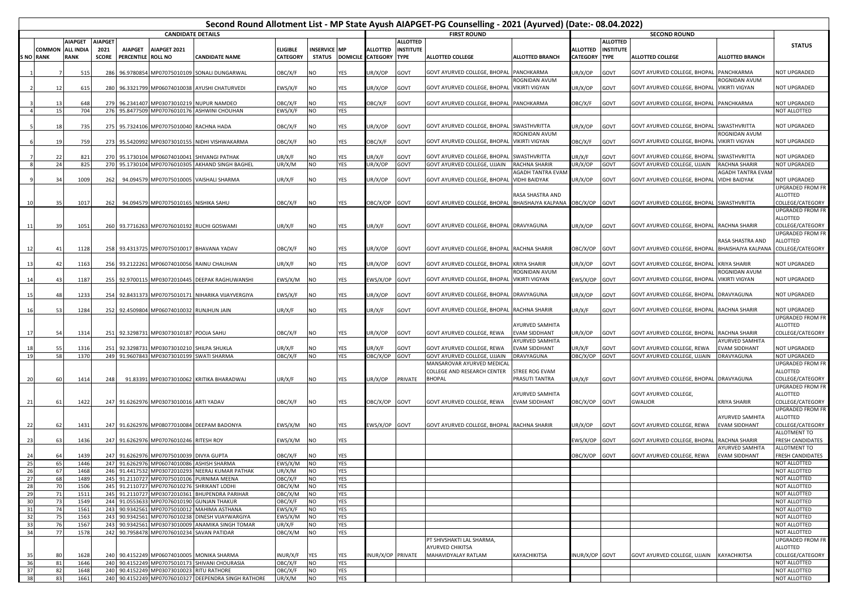|                 |                            |                                 |                      |                                      |                                            |                                                                                              |                             |              |            |                                             |                                 | Second Round Allotment List - MP State Ayush AIAPGET-PG Counselling - 2021 (Ayurved) (Date:- 08.04.2022) |                                         |                                    |                                 |                                                 |                                         |                                                  |  |
|-----------------|----------------------------|---------------------------------|----------------------|--------------------------------------|--------------------------------------------|----------------------------------------------------------------------------------------------|-----------------------------|--------------|------------|---------------------------------------------|---------------------------------|----------------------------------------------------------------------------------------------------------|-----------------------------------------|------------------------------------|---------------------------------|-------------------------------------------------|-----------------------------------------|--------------------------------------------------|--|
|                 |                            |                                 |                      |                                      | <b>CANDIDATE DETAILS</b>                   |                                                                                              |                             |              |            |                                             |                                 | <b>FIRST ROUND</b>                                                                                       |                                         | <b>SECOND ROUND</b>                |                                 |                                                 |                                         |                                                  |  |
|                 |                            | <b>AIAPGET</b>                  | <b>AIAPGET</b>       |                                      |                                            |                                                                                              |                             |              |            |                                             | <b>ALLOTTED</b>                 |                                                                                                          |                                         |                                    | <b>ALLOTTED</b>                 |                                                 |                                         | <b>STATUS</b>                                    |  |
|                 | COMMON<br><b>S NO RANK</b> | <b>ALL INDIA</b><br><b>RANK</b> | 2021<br><b>SCORE</b> | <b>AIAPGET</b><br>PERCENTILE ROLL NO | AIAPGET 2021                               | <b>CANDIDATE NAME</b>                                                                        | <b>ELIGIBLE</b><br>CATEGORY | INSERVICE MP |            | <b>ALLOTTED</b><br>STATUS DOMICILE CATEGORY | <b>INSTITUTE</b><br><b>TYPE</b> | <b>ALLOTTED COLLEGE</b>                                                                                  | ALLOTTED BRANCH                         | <b>ALLOTTED</b><br><b>CATEGORY</b> | <b>INSTITUTE</b><br><b>TYPE</b> | <b>ALLOTTED COLLEGE</b>                         | <b>ALLOTTED BRANCH</b>                  |                                                  |  |
|                 |                            | 51                              | 286                  |                                      |                                            | 96.9780854 MP07075010109 SONALI DUNGARWAL                                                    | OBC/X/F                     | NO           | YES        | JR/X/OP                                     | GOVT                            | GOVT AYURVED COLLEGE, BHOPAL                                                                             | PANCHKARMA                              | JR/X/OP                            | GOVT                            | GOVT AYURVED COLLEGE, BHOPAL PANCHKARMA         |                                         | NOT UPGRADED                                     |  |
|                 |                            |                                 |                      |                                      |                                            |                                                                                              |                             |              |            |                                             |                                 |                                                                                                          | ROGNIDAN AVUM                           |                                    |                                 |                                                 | ROGNIDAN AVUM                           |                                                  |  |
|                 | 12                         | 615                             |                      |                                      |                                            | 280 96.3321799 MP06074010038 AYUSHI CHATURVEDI                                               | EWS/X/F                     | NO           | YES        | JR/X/OP                                     | GOVT                            | GOVT AYURVED COLLEGE, BHOPAL                                                                             | <b>VIKIRTI VIGYAN</b>                   | JR/X/OP                            | GOVT                            | GOVT AYURVED COLLEGE, BHOPAL                    | <b>VIKIRTI VIGYAN</b>                   | NOT UPGRADED                                     |  |
|                 | 13<br>15                   | 648<br>704                      |                      |                                      |                                            | 279 96.2341407 MP03073010219 NUPUR NAMDEO<br>276 95.8477509 MP07076010176 ASHWINI CHOUHAN    | <b>DBC/X/F</b>              | NO<br>NO     | YES<br>YES | <b>JBC/X/F</b>                              | GOVT                            | GOVT AYURVED COLLEGE, BHOPAL                                                                             | PANCHKARMA                              | OBC/X/F                            | GOVT                            | GOVT AYURVED COLLEGE, BHOPAL PANCHKARMA         |                                         | <b>NOT UPGRADED</b><br>NOT ALLOTTED              |  |
|                 |                            |                                 |                      |                                      |                                            |                                                                                              | EWS/X/F                     |              |            |                                             |                                 |                                                                                                          |                                         |                                    |                                 |                                                 |                                         |                                                  |  |
|                 | 18                         | 735                             |                      |                                      | 275 95.7324106 MP07075010040 RACHNA HADA   |                                                                                              | OBC/X/F                     | NO           | YES        | JR/X/OP                                     | GOVT                            | GOVT AYURVED COLLEGE, BHOPAL SWASTHVRITTA                                                                |                                         | JR/X/OP                            | GOVT                            | GOVT AYURVED COLLEGE, BHOPAL SWASTHVRITTA       |                                         | NOT UPGRADED                                     |  |
|                 | 19                         | 759                             |                      |                                      |                                            | 273 95.5420992 MP03073010155 NIDHI VISHWAKARMA                                               | OBC/X/F                     | NO           | YES        | OBC/X/F                                     | GOVT                            | GOVT AYURVED COLLEGE, BHOPAL VIKIRTI VIGYAN                                                              | ROGNIDAN AVUM                           | OBC/X/F                            | GOVT                            | GOVT AYURVED COLLEGE, BHOPAL VIKIRTI VIGYAN     | <b>ROGNIDAN AVUM</b>                    | NOT UPGRADED                                     |  |
|                 | 22                         | 821                             |                      |                                      |                                            | 270 95.1730104 MP06074010041 SHIVANGI PATHAK                                                 | JR/X/F                      | NO           | YES        | JR/X/F                                      | GOVT                            | GOVT AYURVED COLLEGE, BHOPAL                                                                             | SWASTHVRITTA                            | JR/X/F                             | GOVT                            | GOVT AYURVED COLLEGE, BHOPAL SWASTHVRITTA       |                                         | NOT UPGRADED                                     |  |
|                 | 24                         | 825                             |                      |                                      |                                            | 270 95.1730104 MP07076010305 AKHAND SINGH BAGHEL                                             | UR/X/M                      | NO           | YES        | UR/X/OP                                     | GOVT                            | GOVT AYURVED COLLEGE, UJJAIN                                                                             | <b>RACHNA SHARIR</b>                    | JR/X/OP                            | GOVT                            | GOVT AYURVED COLLEGE, UJJAIN                    | RACHNA SHARIR                           | <b>NOT UPGRADED</b>                              |  |
|                 |                            |                                 |                      |                                      |                                            |                                                                                              |                             |              |            |                                             |                                 |                                                                                                          | AGADH TANTRA EVAN                       |                                    |                                 |                                                 | AGADH TANTRA EVAN                       |                                                  |  |
|                 | 34                         | 1009                            | 262                  |                                      |                                            | 94.094579 MP07075010005 VAISHALI SHARMA                                                      | JR/X/F                      | NO           | YES        | JR/X/OP                                     | GOVT                            | GOVT AYURVED COLLEGE, BHOPAL                                                                             | <b>VIDHI BAIDYAK</b>                    | JR/X/OP                            | GOVT                            | GOVT AYURVED COLLEGE, BHOPAL VIDHI BAIDYAK      |                                         | <b>NOT UPGRADED</b>                              |  |
|                 | 35                         | 1017                            | 262                  |                                      | 94.094579 MP07075010165 NISHIKA SAHU       |                                                                                              | OBC/X/F                     | NO           | YES        | OBC/X/OP                                    | GOVT                            | GOVT AYURVED COLLEGE, BHOPAL BHAISHAJYA KALPANA                                                          | RASA SHASTRA AND                        | OBC/X/OP                           | GOVT                            | GOVT AYURVED COLLEGE, BHOPAL SWASTHVRITTA       |                                         | UPGRADED FROM FR<br>ALLOTTED<br>COLLEGE/CATEGORY |  |
|                 |                            |                                 |                      |                                      |                                            |                                                                                              |                             |              |            |                                             |                                 |                                                                                                          |                                         |                                    |                                 |                                                 |                                         | UPGRADED FROM FR<br>ALLOTTED                     |  |
| 11              | 39                         | 1051                            |                      |                                      |                                            | 260 93.7716263 MP07076010192 RUCHI GOSWAMI                                                   | UR/X/F                      | NO           | YES        | JR/X/F                                      | GOVT                            | GOVT AYURVED COLLEGE, BHOPAL DRAVYAGUNA                                                                  |                                         | JR/X/OP                            | GOVT                            | GOVT AYURVED COLLEGE, BHOPAL RACHNA SHARIR      |                                         | COLLEGE/CATEGORY                                 |  |
|                 |                            |                                 |                      |                                      |                                            |                                                                                              |                             |              |            |                                             |                                 |                                                                                                          |                                         |                                    |                                 |                                                 |                                         | UPGRADED FROM FR                                 |  |
| 12              | 41                         | 1128                            |                      |                                      |                                            | 258 93.4313725 MP07075010017 BHAVANA YADAV                                                   | OBC/X/F                     | NO           | YES        | JR/X/OP                                     | GOVT                            | GOVT AYURVED COLLEGE, BHOPAL RACHNA SHARIR                                                               |                                         | OBC/X/OP                           | GOVT                            | GOVT AYURVED COLLEGE, BHOPAL BHAISHAJYA KALPANA | RASA SHASTRA AND                        | <b>ALLOTTED</b><br>COLLEGE/CATEGORY              |  |
|                 |                            |                                 |                      |                                      |                                            |                                                                                              |                             |              |            |                                             |                                 |                                                                                                          |                                         |                                    |                                 |                                                 |                                         |                                                  |  |
| -13             | 42                         | 1163                            |                      |                                      |                                            | 256 93.2122261 MP06074010056 RAINU CHAUHAN                                                   | JR/X/F                      | NO           | YES        | JR/X/OP                                     | GOVT                            | GOVT AYURVED COLLEGE, BHOPAL KRIYA SHARIR                                                                | ROGNIDAN AVUM                           | JR/X/OP                            | GOVT                            | GOVT AYURVED COLLEGE, BHOPAL KRIYA SHARIR       | ROGNIDAN AVUM                           | NOT UPGRADED                                     |  |
| 14              | 43                         | 1187                            |                      |                                      |                                            | 255 92.9700115 MP03072010445 DEEPAK RAGHUWANSHI                                              | EWS/X/M                     | NO           | YES        | EWS/X/OP                                    | GOVT                            | GOVT AYURVED COLLEGE, BHOPAL                                                                             | <b>VIKIRTI VIGYAN</b>                   | EWS/X/OP                           | GOVT                            | GOVT AYURVED COLLEGE, BHOPAL VIKIRTI VIGYAN     |                                         | <b>NOT UPGRADED</b>                              |  |
| 15              | 48                         | 1233                            |                      |                                      |                                            | 254 92.8431373 MP07075010171 NIHARIKA VIJAYVERGIYA                                           | EWS/X/F                     | NO           | YES        | JR/X/OP                                     | GOVT                            | GOVT AYURVED COLLEGE, BHOPAL DRAVYAGUNA                                                                  |                                         | JR/X/OP                            | GOVT                            | GOVT AYURVED COLLEGE, BHOPAL DRAVYAGUNA         |                                         | NOT UPGRADED                                     |  |
|                 |                            |                                 |                      |                                      |                                            |                                                                                              |                             |              |            |                                             |                                 |                                                                                                          |                                         |                                    |                                 |                                                 |                                         |                                                  |  |
| 16              | 53                         | 1284                            |                      |                                      | 252 92.4509804 MP06074010032 RUNJHUN JAIN  |                                                                                              | UR/X/F                      | NO           | YES        | JR/X/F                                      | GOVT                            | GOVT AYURVED COLLEGE, BHOPAL RACHNA SHARIR                                                               |                                         | JR/X/F                             | GOVT                            | GOVT AYURVED COLLEGE, BHOPAL RACHNA SHARIR      |                                         | NOT UPGRADED<br>UPGRADED FROM FR                 |  |
|                 |                            |                                 |                      |                                      |                                            |                                                                                              |                             |              |            |                                             |                                 |                                                                                                          | AYURVED SAMHITA                         |                                    |                                 |                                                 |                                         | ALLOTTED                                         |  |
| 17              | 54                         | 1314                            |                      |                                      | 251 92.3298731 MP03073010187 POOJA SAHU    |                                                                                              | OBC/X/F                     | NO           | YES        | JR/X/OP                                     | GOVT                            | GOVT AYURVED COLLEGE, REWA                                                                               | <b>EVAM SIDDHANT</b>                    | JR/X/OP                            | GOVT                            | GOVT AYURVED COLLEGE, BHOPAL RACHNA SHARIR      |                                         | COLLEGE/CATEGORY                                 |  |
|                 | 55                         | 1316                            |                      |                                      | 251 92.3298731 MP03073010210 SHILPA SHUKLA |                                                                                              | JR/X/F                      | NO           | YES        | JR/X/F                                      | GOVT                            | GOVT AYURVED COLLEGE, REWA                                                                               | AYURVED SAMHITA<br><b>EVAM SIDDHANT</b> | JR/X/F                             | GOVT                            | GOVT AYURVED COLLEGE, REWA                      | AYURVED SAMHITA<br><b>EVAM SIDDHANT</b> | <b>NOT UPGRADED</b>                              |  |
| 19              | 58                         | 1370                            |                      |                                      | 249 91.9607843 MP03073010199 SWATI SHARMA  |                                                                                              | OBC/X/F                     | NO           | YES        | OBC/X/OP                                    | GOVT                            | GOVT AYURVED COLLEGE, UJJAIN                                                                             | DRAVYAGUNA                              | OBC/X/OP                           | GOVT                            | GOVT AYURVED COLLEGE, UJJAIN                    | DRAVYAGUNA                              | <b>NOT UPGRADED</b>                              |  |
|                 |                            |                                 |                      |                                      |                                            |                                                                                              |                             |              |            |                                             |                                 | MANSAROVAR AYURVED MEDICAL                                                                               |                                         |                                    |                                 |                                                 |                                         | <b>UPGRADED FROM FR</b>                          |  |
|                 |                            |                                 |                      |                                      |                                            |                                                                                              |                             |              |            |                                             |                                 | COLLEGE AND RESEARCH CENTER                                                                              | STREE ROG EVAM                          |                                    |                                 |                                                 |                                         | ALLOTTED                                         |  |
| 20              | 60                         | 1414                            | 248                  |                                      |                                            | 91.83391 MP03073010062 KRITIKA BHARADWAJ                                                     | UR/X/F                      | NO           | YES        | JR/X/OP                                     | PRIVATE                         | <b>BHOPAL</b>                                                                                            | PRASUTI TANTRA                          | JR/X/F                             | GOVT                            | GOVT AYURVED COLLEGE, BHOPAL DRAVYAGUNA         |                                         | COLLEGE/CATEGORY<br>UPGRADED FROM FR             |  |
|                 |                            |                                 |                      |                                      |                                            |                                                                                              |                             |              |            |                                             |                                 |                                                                                                          | AYURVED SAMHITA                         |                                    |                                 | GOVT AYURVED COLLEGE,                           |                                         | ALLOTTED                                         |  |
| 21              | 61                         | 1422                            |                      |                                      | 247 91.6262976 MP03073010016 ARTI YADAV    |                                                                                              | OBC/X/F                     | NO           | YES        | OBC/X/OP                                    | GOVT                            | GOVT AYURVED COLLEGE, REWA                                                                               | <b>EVAM SIDDHANT</b>                    | OBC/X/OP                           | GOVT                            | <b>GWALIOR</b>                                  | <b>KRIYA SHARIR</b>                     | COLLEGE/CATEGORY                                 |  |
|                 |                            |                                 |                      |                                      |                                            |                                                                                              |                             |              |            |                                             |                                 |                                                                                                          |                                         |                                    |                                 |                                                 |                                         | UPGRADED FROM FR<br>ALLOTTED                     |  |
| 22              | 62                         | 1431                            |                      |                                      |                                            | 247 91.6262976 MP08077010084 DEEPAM BADONYA                                                  | EWS/X/M                     | NO           | YES        | EWS/X/OP GOVT                               |                                 | GOVT AYURVED COLLEGE, BHOPAL RACHNA SHARIR                                                               |                                         | JR/X/OP                            | GOVT                            | GOVT AYURVED COLLEGE, REWA                      | AYURVED SAMHITA<br><b>EVAM SIDDHANT</b> | COLLEGE/CATEGORY                                 |  |
|                 |                            |                                 |                      |                                      |                                            |                                                                                              |                             |              |            |                                             |                                 |                                                                                                          |                                         |                                    |                                 |                                                 |                                         | ALLOTMENT TO                                     |  |
| 23              | 63                         | 1436                            |                      |                                      | 247 91.6262976 MP07076010246 RITESH ROY    |                                                                                              | EWS/X/M                     | NO           | YES        |                                             |                                 |                                                                                                          |                                         | EWS/X/OP                           | GOVT                            | GOVT AYURVED COLLEGE, BHOPAL                    | <b>RACHNA SHARIR</b>                    | FRESH CANDIDATES                                 |  |
|                 | 64                         | 1439                            |                      |                                      | 247 91.6262976 MP07075010039 DIVYA GUPTA   |                                                                                              | OBC/X/F                     | NO           | YES        |                                             |                                 |                                                                                                          |                                         | OBC/X/OP                           | GOVT                            | GOVT AYURVED COLLEGE, REWA                      | AYURVED SAMHITA<br><b>EVAM SIDDHANT</b> | ALLOTMENT TO<br>FRESH CANDIDATES                 |  |
| 24<br>25        | 65                         | 1446                            |                      |                                      |                                            | 247 91.6262976 MP06074010086 ASHISH SHARMA                                                   | EWS/X/M                     | NO           | YES        |                                             |                                 |                                                                                                          |                                         |                                    |                                 |                                                 |                                         | NOT ALLOTTED                                     |  |
| 26              | 67                         | 1468                            |                      |                                      |                                            | 246 91.4417532 MP03072010293 NEERAJ KUMAR PATHAK                                             | UR/X/M                      | NO           | YES        |                                             |                                 |                                                                                                          |                                         |                                    |                                 |                                                 |                                         | NOT ALLOTTED                                     |  |
| $\overline{27}$ |                            | 68<br>1489                      |                      |                                      |                                            | 245 91.2110727 MP07075010106 PURNIMA MEENA                                                   | OBC/X/F                     | NO           | YES        |                                             |                                 |                                                                                                          |                                         |                                    |                                 |                                                 |                                         | NOT ALLOTTED                                     |  |
| 28              | 70                         | 1506                            |                      |                                      |                                            | 245 91.2110727 MP07076010276 SHRIKANT LODHI                                                  | OBC/X/M                     | NO           | YES        |                                             |                                 |                                                                                                          |                                         |                                    |                                 |                                                 |                                         | <b>NOT ALLOTTED</b>                              |  |
| 29<br>30        | 71<br>73                   | 1511<br>1549                    |                      |                                      |                                            | 245 91.2110727 MP03072010361 BHUPENDRA PARIHAR<br>244 91.0553633 MP07076010190 GUNJAN THAKUR | OBC/X/M<br>OBC/X/F          | NO<br>NO     | YES<br>YES |                                             |                                 |                                                                                                          |                                         |                                    |                                 |                                                 |                                         | NOT ALLOTTED<br>NOT ALLOTTED                     |  |
| 31              | 74                         | 1561                            |                      |                                      |                                            | 243 90.9342561 MP07075010012 MAHIMA ASTHANA                                                  | EWS/X/F                     | NO           | YES        |                                             |                                 |                                                                                                          |                                         |                                    |                                 |                                                 |                                         | NOT ALLOTTED                                     |  |
| 32              | 75                         | 1563                            |                      |                                      |                                            | 243 90.9342561 MP07076010238 DINESH VIJAYWARGIYA                                             | EWS/X/M                     | NO           | YES        |                                             |                                 |                                                                                                          |                                         |                                    |                                 |                                                 |                                         | NOT ALLOTTED                                     |  |
| 33              | 76                         | 1567                            |                      |                                      |                                            | 243 90.9342561 MP03073010009 ANAMIKA SINGH TOMAR                                             | UR/X/F                      | NO           | YES        |                                             |                                 |                                                                                                          |                                         |                                    |                                 |                                                 |                                         | NOT ALLOTTED                                     |  |
| 34              | 77                         | 1578                            |                      |                                      | 242 90.7958478 MP07076010234 SAVAN PATIDAR |                                                                                              | OBC/X/M                     | NO           | YES        |                                             |                                 |                                                                                                          |                                         |                                    |                                 |                                                 |                                         | NOT ALLOTTED                                     |  |
|                 |                            |                                 |                      |                                      |                                            |                                                                                              |                             |              |            |                                             |                                 | PT SHIVSHAKTI LAL SHARMA,<br>AYURVED CHIKITSA                                                            |                                         |                                    |                                 |                                                 |                                         | UPGRADED FROM FR<br>ALLOTTED                     |  |
| -35             | 80                         | 1628                            |                      |                                      |                                            | 240 90.4152249 MP06074010005 MONIKA SHARMA                                                   | INUR/X/F                    | YES          | YES        | INUR/X/OP PRIVATE                           |                                 | MAHAVIDYALAY RATLAM                                                                                      | KAYACHIKITSA                            | INUR/X/OP GOVT                     |                                 | GOVT AYURVED COLLEGE, UJJAIN KAYACHIKITSA       |                                         | COLLEGE/CATEGORY                                 |  |
| 36              | 81                         | 1646                            |                      |                                      |                                            | 240 90.4152249 MP07075010173 SHIVANI CHOURASIA                                               | OBC/X/F                     | NO           | YES        |                                             |                                 |                                                                                                          |                                         |                                    |                                 |                                                 |                                         | NOT ALLOTTED                                     |  |
| 37              | 82                         | 1648                            |                      |                                      | 240 90.4152249 MP03073010023 RITU RATHORE  |                                                                                              | OBC/X/F                     | NO           | YES        |                                             |                                 |                                                                                                          |                                         |                                    |                                 |                                                 |                                         | NOT ALLOTTED                                     |  |
| 38              |                            | 83<br>1661                      |                      |                                      |                                            | 240 90.4152249 MP07076010327 DEEPENDRA SINGH RATHORE                                         | UR/X/M                      | <b>NO</b>    | YES        |                                             |                                 |                                                                                                          |                                         |                                    |                                 |                                                 |                                         | NOT ALLOTTED                                     |  |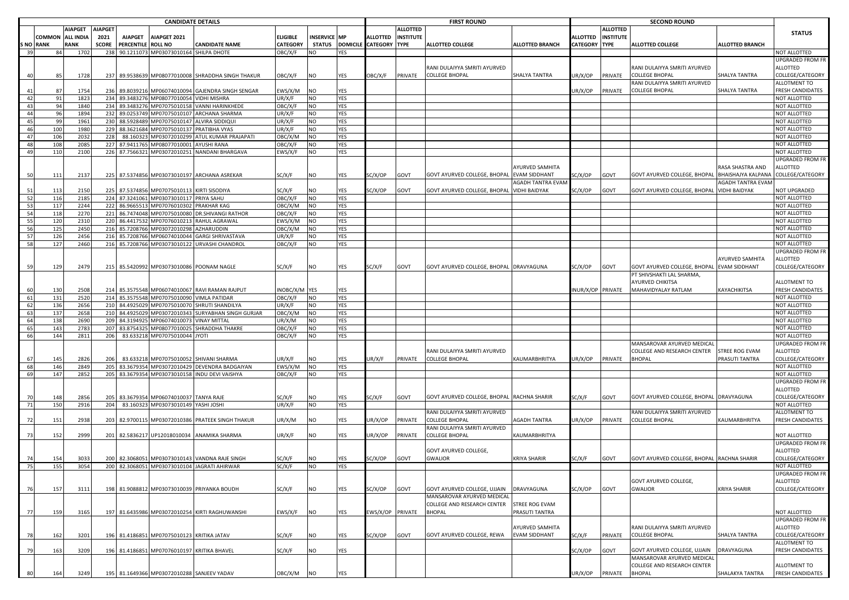|           | <b>CANDIDATE DETAILS</b> |                  |                |                    |                                             |                                                     |                 |                     |                          |                        |                  | <b>FIRST ROUND</b>                         |                        |                   |                  |                                            |                          |                              |
|-----------|--------------------------|------------------|----------------|--------------------|---------------------------------------------|-----------------------------------------------------|-----------------|---------------------|--------------------------|------------------------|------------------|--------------------------------------------|------------------------|-------------------|------------------|--------------------------------------------|--------------------------|------------------------------|
|           |                          | <b>AIAPGET</b>   | <b>AIAPGET</b> |                    |                                             |                                                     |                 |                     |                          |                        | <b>ALLOTTED</b>  |                                            |                        |                   | <b>ALLOTTED</b>  | <b>SECOND ROUND</b>                        |                          | <b>STATUS</b>                |
|           | COMMON                   | <b>ALL INDIA</b> | 2021           | <b>AIAPGET</b>     | AIAPGET 2021                                |                                                     | ELIGIBLE        | <b>INSERVICE MP</b> |                          | ALLOTTED               | <b>INSTITUTE</b> |                                            |                        | ALLOTTED          | <b>INSTITUTE</b> |                                            |                          |                              |
| S NO RANK |                          | <b>RANK</b>      | <b>SCORE</b>   | PERCENTILE ROLL NO |                                             | <b>CANDIDATE NAME</b>                               | <b>CATEGORY</b> | <b>STATUS</b>       |                          | DOMICILE CATEGORY TYPE |                  | <b>ALLOTTED COLLEGE</b>                    | <b>ALLOTTED BRANCH</b> | <b>CATEGORY</b>   | <b>TYPE</b>      | <b>ALLOTTED COLLEGE</b>                    | ALLOTTED BRANCH          |                              |
| 39        | 84                       | 1702             | 238            |                    | 90.1211073 MP03073010164 SHILPA DHOTE       |                                                     | OBC/X/F         | NO                  | YES                      |                        |                  |                                            |                        |                   |                  |                                            |                          | NOT ALLOTTED                 |
|           |                          |                  |                |                    |                                             |                                                     |                 |                     |                          |                        |                  |                                            |                        |                   |                  |                                            |                          | UPGRADED FROM FR             |
|           |                          |                  |                |                    |                                             |                                                     |                 |                     |                          |                        |                  | RANI DULAIYYA SMRITI AYURVED               |                        |                   |                  | RANI DULAIYYA SMRITI AYURVED               |                          | ALLOTTED                     |
| 40        | 85                       | 1728             |                |                    |                                             | 237 89.9538639 MP08077010008 SHRADDHA SINGH THAKUR  | OBC/X/F         | NO                  | YES                      | OBC/X/F                | PRIVATE          | <b>COLLEGE BHOPAL</b>                      | SHALYA TANTRA          | UR/X/OP           | PRIVATE          | <b>COLLEGE BHOPAL</b>                      | SHALYA TANTRA            | COLLEGE/CATEGORY             |
|           |                          |                  |                |                    |                                             |                                                     |                 |                     |                          |                        |                  |                                            |                        |                   |                  | RANI DULAIYYA SMRITI AYURVED               |                          | ALLOTMENT TO                 |
| 41        | 87                       | 1754             |                |                    |                                             | 236 89.8039216 MP06074010094 GAJENDRA SINGH SENGAR  | EWS/X/M         | NO                  | YES                      |                        |                  |                                            |                        | UR/X/OP           | PRIVATE          | COLLEGE BHOPAL                             | SHALYA TANTRA            | FRESH CANDIDATES             |
| 42        | 91                       | 1823             |                |                    | 234 89.3483276 MP08077010054 VIDHI MISHRA   |                                                     | UR/X/F          | NO                  | YES<br><b>YES</b>        |                        |                  |                                            |                        |                   |                  |                                            |                          | NOT ALLOTTED                 |
| 43        | 94                       | 1840             | 234            |                    | 89.3483276 MP07075010158                    | <b>VANNI HARINKHEDE</b>                             | OBC/X/F         | NO                  |                          |                        |                  |                                            |                        |                   |                  |                                            |                          | NOT ALLOTTED                 |
| 44<br>45  | 96                       | 1894             |                |                    |                                             | 232 89.0253749 MP07075010107 ARCHANA SHARMA         | UR/X/F          | NO                  | <b>YES</b><br><b>YES</b> |                        |                  |                                            |                        |                   |                  |                                            |                          | NOT ALLOTTED                 |
|           | 99                       | 1961             |                |                    | 230 88.5928489 MP07075010147 ALVIRA SIDDIQU |                                                     | UR/X/F          | NO                  |                          |                        |                  |                                            |                        |                   |                  |                                            |                          | NOT ALLOTTED                 |
| 46        | 100                      | 1980             | 229            |                    | 88.3621684 MP07075010137 PRATIBHA VYAS      |                                                     | UR/X/F          | <b>NO</b>           | <b>YES</b>               |                        |                  |                                            |                        |                   |                  |                                            |                          | NOT ALLOTTED<br>NOT ALLOTTED |
| 47        | 106                      | 2032             | 228            |                    |                                             | 88.160323 MP03072010299 ATUL KUMAR PRAJAPATI        | OBC/X/M         | NO                  | YES                      |                        |                  |                                            |                        |                   |                  |                                            |                          |                              |
| 48        | 108                      | 2085             | 227            |                    | 87.9411765 MP08077010001                    | AYUSHI RANA                                         | OBC/X/F         | NO                  | <b>YES</b>               |                        |                  |                                            |                        |                   |                  |                                            |                          | NOT ALLOTTED                 |
| 49        | 110                      | 2100             |                |                    |                                             | 226 87.7566321 MP03072010251 NANDANI BHARGAVA       | EWS/X/F         | NO                  | YES                      |                        |                  |                                            |                        |                   |                  |                                            |                          | NOT ALLOTTED                 |
|           |                          |                  |                |                    |                                             |                                                     |                 |                     |                          |                        |                  |                                            |                        |                   |                  |                                            |                          | UPGRADED FROM FR             |
|           |                          |                  |                |                    |                                             |                                                     |                 |                     |                          |                        |                  |                                            | AYURVED SAMHITA        |                   |                  |                                            | RASA SHASTRA AND         | ALLOTTED                     |
| 50        | 111                      | 2137             |                |                    |                                             | 225 87.5374856 MP03073010197 ARCHANA ASREKAR        | SC/X/F          | NO                  | YES                      | SC/X/OP                | GOVT             | GOVT AYURVED COLLEGE, BHOPAL EVAM SIDDHANT |                        | SC/X/OP           | GOVT             | GOVT AYURVED COLLEGE, BHOPAL               | BHAISHAJYA KALPANA       | COLLEGE/CATEGORY             |
|           |                          |                  |                |                    |                                             |                                                     |                 |                     |                          |                        |                  |                                            | AGADH TANTRA EVAM      |                   |                  |                                            | <b>AGADH TANTRA EVAM</b> |                              |
| 51        | 113                      | 2150             |                |                    | 225 87.5374856 MP07075010113 KIRTI SISODIYA |                                                     | SC/X/F          | NO                  | YES                      | SC/X/OP                | GOVT             | GOVT AYURVED COLLEGE, BHOPAL VIDHI BAIDYAK |                        | SC/X/OP           | GOVT             | GOVT AYURVED COLLEGE, BHOPAL VIDHI BAIDYAK |                          | NOT UPGRADED                 |
| 52        | 116                      | 2185             |                |                    | 224 87.3241061 MP03073010117 PRIYA SAHU     |                                                     | OBC/X/F         | NO                  | YES                      |                        |                  |                                            |                        |                   |                  |                                            |                          | NOT ALLOTTED                 |
| 53        | 117                      | 2244             |                |                    | 222 86.9665513 MP07076010302 PRAKHAR KAG    |                                                     | OBC/X/M         | <b>NO</b>           | YES                      |                        |                  |                                            |                        |                   |                  |                                            |                          | NOT ALLOTTED                 |
| 54        | 118                      | 2270             |                |                    |                                             | 221 86.7474048 MP07075010080 DR.SHIVANGI RATHOR     | OBC/X/F         | NO                  | YES                      |                        |                  |                                            |                        |                   |                  |                                            |                          | NOT ALLOTTED                 |
| 55        | 120                      | 2310             |                |                    | 220 86.4417532 MP07076010213 RAHUL AGRAWAL  |                                                     | EWS/X/M         | NΟ                  | <b>YES</b>               |                        |                  |                                            |                        |                   |                  |                                            |                          | NOT ALLOTTED                 |
| 56        | 125                      | 2450             |                |                    | 216 85.7208766 MP03072010298                | AZHARUDDIN                                          | OBC/X/M         | NO                  | <b>YES</b>               |                        |                  |                                            |                        |                   |                  |                                            |                          | NOT ALLOTTED                 |
| 57        | 126                      | 2456             |                |                    | 216 85.7208766 MP06074010044                | <b>GARGI SHRIVASTAVA</b>                            | UR/X/F          | NO                  | <b>YES</b>               |                        |                  |                                            |                        |                   |                  |                                            |                          | NOT ALLOTTED                 |
| 58        | 127                      | 2460             |                |                    | 216 85.7208766 MP03073010122                | URVASHI CHANDROL                                    | OBC/X/F         | <b>NO</b>           | <b>YES</b>               |                        |                  |                                            |                        |                   |                  |                                            |                          | NOT ALLOTTED                 |
|           |                          |                  |                |                    |                                             |                                                     |                 |                     |                          |                        |                  |                                            |                        |                   |                  |                                            |                          | UPGRADED FROM FR             |
|           |                          |                  |                |                    |                                             |                                                     |                 |                     |                          |                        |                  |                                            |                        |                   |                  |                                            | AYURVED SAMHITA          | ALLOTTED                     |
| 59        | 129                      | 2479             |                |                    | 215 85.5420992 MP03073010086 POONAM NAGLE   |                                                     | SC/X/F          | NO                  | YES                      | SC/X/F                 | GOVT             | GOVT AYURVED COLLEGE, BHOPAL DRAVYAGUNA    |                        | SC/X/OP           | GOVT             | GOVT AYURVED COLLEGE, BHOPAL               | <b>EVAM SIDDHANT</b>     | COLLEGE/CATEGORY             |
|           |                          |                  |                |                    |                                             |                                                     |                 |                     |                          |                        |                  |                                            |                        |                   |                  | PT SHIVSHAKTI LAL SHARMA,                  |                          |                              |
|           |                          |                  |                |                    |                                             |                                                     |                 |                     |                          |                        |                  |                                            |                        |                   |                  | AYURVED CHIKITSA                           |                          | ALLOTMENT TO                 |
| 60        | 130                      | 2508             |                |                    |                                             | 214 85.3575548 MP06074010067 RAVI RAMAN RAJPUT      | INOBC/X/M YES   |                     | YES                      |                        |                  |                                            |                        | INUR/X/OP PRIVATE |                  | MAHAVIDYALAY RATLAM                        | KAYACHIKITSA             | FRESH CANDIDATES             |
| 61        | 131                      | 2520             |                |                    | 214 85.3575548 MP07075010090 VIMLA PATIDAR  |                                                     | DBC/X/F         | NO                  | YES                      |                        |                  |                                            |                        |                   |                  |                                            |                          | NOT ALLOTTED                 |
| 62        | 136                      | 2656             |                |                    |                                             | 210 84.4925029 MP07075010070 SHRUTI SHANDILYA       | UR/X/F          | NO                  | YES                      |                        |                  |                                            |                        |                   |                  |                                            |                          | NOT ALLOTTED                 |
| 63        | 137                      | 2658             |                |                    |                                             | 210 84.4925029 MP03072010343 SURYABHAN SINGH GURJAR | OBC/X/M         | NO                  | YES                      |                        |                  |                                            |                        |                   |                  |                                            |                          | NOT ALLOTTED                 |
| 64        | 138                      | 2690             | 209            |                    | 84.3194925 MP06074010073                    | VINAY MITTAL                                        | UR/X/M          | NO                  | <b>YES</b>               |                        |                  |                                            |                        |                   |                  |                                            |                          | NOT ALLOTTED                 |
| 65        | 143                      | 2783             | 207            |                    |                                             | 83.8754325 MP08077010025 SHRADDHA THAKRE            | OBC/X/F         | NO                  | YES                      |                        |                  |                                            |                        |                   |                  |                                            |                          | NOT ALLOTTED                 |
| 66        | 144                      | 2811             | 206            |                    | 83.633218 MP07075010044                     |                                                     | OBC/X/F         | <b>NO</b>           | <b>YES</b>               |                        |                  |                                            |                        |                   |                  |                                            |                          | <b>NOT ALLOTTED</b>          |
|           |                          |                  |                |                    |                                             | JYOTI                                               |                 |                     |                          |                        |                  |                                            |                        |                   |                  |                                            |                          |                              |
|           |                          |                  |                |                    |                                             |                                                     |                 |                     |                          |                        |                  |                                            |                        |                   |                  | MANSAROVAR AYURVED MEDICAL                 |                          | UPGRADED FROM FR             |
|           |                          |                  |                |                    |                                             |                                                     |                 |                     |                          |                        |                  | RANI DULAIYYA SMRITI AYURVED               |                        |                   |                  | COLLEGE AND RESEARCH CENTER                | STREE ROG EVAM           | ALLOTTED                     |
| -67       | 145                      | 2826             | 206            |                    | 83.633218 MP07075010052 SHIVANI SHARMA      |                                                     | UR/X/F          | NO                  | YES                      | JR/X/F                 | PRIVATE          | <b>COLLEGE BHOPAL</b>                      | KAUMARBHRITYA          | UR/X/OP           | PRIVATE          | BHOPAL                                     | PRASUTI TANTRA           | COLLEGE/CATEGORY             |
| 68        | 146                      | 2849             | 205            |                    |                                             | 83.3679354 MP03072010429 DEVENDRA BADGAIYAN         | EWS/X/M         | <b>NO</b>           | <b>YES</b>               |                        |                  |                                            |                        |                   |                  |                                            |                          | NOT ALLOTTED                 |
| 69        | 147                      | 2852             | 205            |                    |                                             | 83.3679354 MP03073010158 INDU DEVI VAISHYA          | OBC/X/F         | NO                  | <b>YES</b>               |                        |                  |                                            |                        |                   |                  |                                            |                          | NOT ALLOTTED                 |
|           |                          |                  |                |                    |                                             |                                                     |                 |                     |                          |                        |                  |                                            |                        |                   |                  |                                            |                          | UPGRADED FROM FR             |
|           |                          |                  |                |                    |                                             |                                                     |                 |                     |                          |                        |                  |                                            |                        |                   |                  |                                            |                          | ALLOTTED                     |
| 70        | 148                      | 2856             |                |                    | 205 83.3679354 MP06074010037 TANYA RAJE     |                                                     | SC/X/F          | NO                  | YES                      | SC/X/F                 | GOVT             | GOVT AYURVED COLLEGE, BHOPAL RACHNA SHARIR |                        | SC/X/F            | GOVT             | GOVT AYURVED COLLEGE, BHOPAL DRAVYAGUNA    |                          | COLLEGE/CATEGORY             |
| 71        | 150                      | 2916             | 204            |                    | 83.160323 MP03073010149 YASHI JOSHI         |                                                     | UR/X/F          | <b>NO</b>           | <b>YES</b>               |                        |                  |                                            |                        |                   |                  |                                            |                          | NOT ALLOTTED                 |
|           |                          |                  |                |                    |                                             |                                                     |                 |                     |                          |                        |                  | RANI DULAIYYA SMRITI AYURVED               |                        |                   |                  | RANI DULAIYYA SMRITI AYURVED               |                          | ALLOTMENT TO                 |
| 72        | 151                      | 2938             |                |                    |                                             | 203 82.9700115 MP03072010386 PRATEEK SINGH THAKUR   | UR/X/M          | <b>NO</b>           | YES                      | JR/X/OP                | PRIVATE          | <b>COLLEGE BHOPAL</b>                      | <b>AGADH TANTRA</b>    | UR/X/OP           | PRIVATE          | <b>COLLEGE BHOPAL</b>                      | KAUMARBHRITYA            | FRESH CANDIDATES             |
|           |                          |                  |                |                    |                                             |                                                     |                 |                     |                          |                        |                  | RANI DULAIYYA SMRITI AYURVED               |                        |                   |                  |                                            |                          |                              |
| 73        | 152                      | 2999             |                |                    |                                             | 201 82.5836217 UP12018010034 ANAMIKA SHARMA         | UR/X/F          | NO                  | YES                      | JR/X/OP                | PRIVATE          | <b>COLLEGE BHOPAL</b>                      | KAUMARBHRITYA          |                   |                  |                                            |                          | NOT ALLOTTED                 |
|           |                          |                  |                |                    |                                             |                                                     |                 |                     |                          |                        |                  |                                            |                        |                   |                  |                                            |                          | UPGRADED FROM FR             |
|           |                          |                  |                |                    |                                             |                                                     |                 |                     |                          |                        |                  | GOVT AYURVED COLLEGE,                      |                        |                   |                  |                                            |                          | ALLOTTED                     |
| 74        | 154                      | 3033             |                |                    |                                             | 200 82.3068051 MP03073010143 VANDNA RAJE SINGH      | SC/X/F          | NO                  | YES                      | SC/X/OP                | GOVT             | <b>GWALIOR</b>                             | KRIYA SHARIR           | SC/X/F            | GOVT             | GOVT AYURVED COLLEGE, BHOPAL RACHNA SHARIR |                          | COLLEGE/CATEGORY             |
| 75        | 155                      | 3054             |                |                    |                                             | 200 82.3068051 MP03073010104 JAGRATI AHIRWAR        | SC/X/F          | N <sub>O</sub>      | <b>YES</b>               |                        |                  |                                            |                        |                   |                  |                                            |                          | <b>NOT ALLOTTED</b>          |
|           |                          |                  |                |                    |                                             |                                                     |                 |                     |                          |                        |                  |                                            |                        |                   |                  |                                            |                          | UPGRADED FROM FR             |
|           |                          |                  |                |                    |                                             |                                                     |                 |                     |                          |                        |                  |                                            |                        |                   |                  | GOVT AYURVED COLLEGE,                      |                          | ALLOTTED                     |
| 76        | 157                      | 3111             |                |                    |                                             | 198 81.9088812 MP03073010039 PRIYANKA BOUDH         | SC/X/F          | NO                  | <b>YES</b>               | SC/X/OP                | GOVT             | GOVT AYURVED COLLEGE, UJJAIN               | DRAVYAGUNA             | SC/X/OP           | GOVT             | <b>GWALIOR</b>                             | <b>KRIYA SHARIR</b>      | COLLEGE/CATEGORY             |
|           |                          |                  |                |                    |                                             |                                                     |                 |                     |                          |                        |                  | MANSAROVAR AYURVED MEDICAL                 |                        |                   |                  |                                            |                          |                              |
|           |                          |                  |                |                    |                                             |                                                     |                 |                     |                          |                        |                  | <b>COLLEGE AND RESEARCH CENTER</b>         | STREE ROG EVAM         |                   |                  |                                            |                          |                              |
|           | 159                      |                  |                |                    |                                             | 197 81.6435986 MP03072010254 KIRTI RAGHUWANSHI      | EWS/X/F         | NO                  | YES                      | EWS/X/OP               | PRIVATE          | <b>BHOPAL</b>                              | PRASUTI TANTRA         |                   |                  |                                            |                          | NOT ALLOTTED                 |
| 77        |                          | 3165             |                |                    |                                             |                                                     |                 |                     |                          |                        |                  |                                            |                        |                   |                  |                                            |                          | <b>UPGRADED FROM FR</b>      |
|           |                          |                  |                |                    |                                             |                                                     |                 |                     |                          |                        |                  |                                            |                        |                   |                  |                                            |                          |                              |
|           |                          |                  |                |                    |                                             |                                                     |                 |                     |                          |                        |                  |                                            | AYURVED SAMHITA        |                   |                  | RANI DULAIYYA SMRITI AYURVED               |                          | ALLOTTED                     |
| 78        | 162                      | 3201             | 196            |                    | 81.4186851 MP07075010123 KRITIKA JATAV      |                                                     | SC/X/F          | <b>NO</b>           | YES                      | SC/X/OP                | GOVT             | GOVT AYURVED COLLEGE, REWA                 | <b>EVAM SIDDHANT</b>   | SC/X/F            | PRIVATE          | <b>COLLEGE BHOPAL</b>                      | SHALYA TANTRA            | COLLEGE/CATEGORY             |
|           |                          |                  |                |                    |                                             |                                                     |                 |                     |                          |                        |                  |                                            |                        |                   |                  |                                            |                          | ALLOTMENT TO                 |
| 79        | 163                      | 3209             |                |                    | 196 81.4186851 MP07076010197 KRITIKA BHAVEL |                                                     | SC/X/F          | <b>NO</b>           | <b>YES</b>               |                        |                  |                                            |                        | SC/X/OP           | <b>GOVT</b>      | GOVT AYURVED COLLEGE, UJJAIN               | DRAVYAGUNA               | FRESH CANDIDATES             |
|           |                          |                  |                |                    |                                             |                                                     |                 |                     |                          |                        |                  |                                            |                        |                   |                  | MANSAROVAR AYURVED MEDICAL                 |                          |                              |
|           |                          |                  |                |                    |                                             |                                                     |                 |                     |                          |                        |                  |                                            |                        |                   |                  | COLLEGE AND RESEARCH CENTER                |                          | ALLOTMENT TO                 |
| 80        | 164                      | 3249             |                |                    | 195 81.1649366 MP03072010288 SANJEEV YADAV  |                                                     | OBC/X/M         | NO                  | YES                      |                        |                  |                                            |                        | UR/X/OP           | PRIVATE          | <b>BHOPAL</b>                              | SHALAKYA TANTRA          | FRESH CANDIDATES             |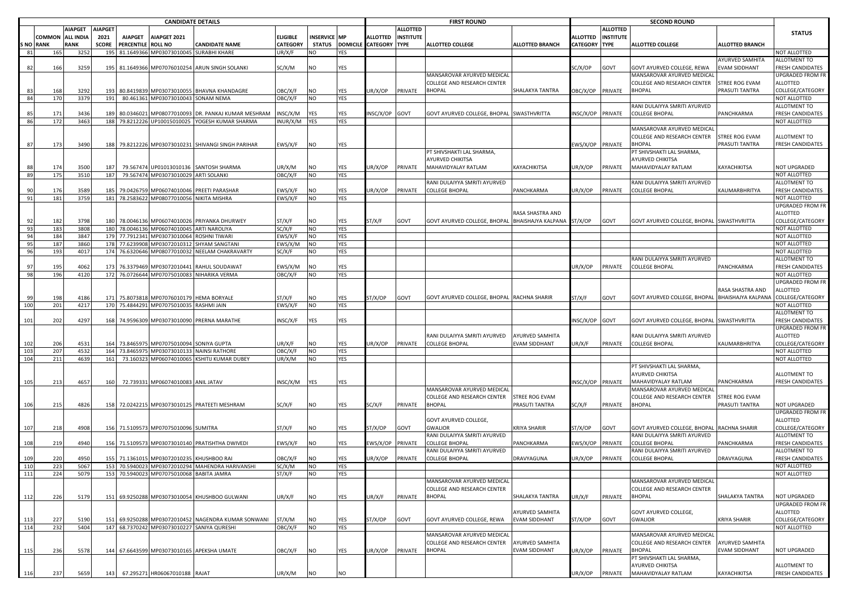|     |                  | <b>CANDIDATE DETAILS</b> |                     |                    |                                             |                                                     |                           |                     |            |                        |                  | <b>FIRST ROUND</b>                                      |                        |           |                  | <b>SECOND ROUND</b>                         |                      |                                      |
|-----|------------------|--------------------------|---------------------|--------------------|---------------------------------------------|-----------------------------------------------------|---------------------------|---------------------|------------|------------------------|------------------|---------------------------------------------------------|------------------------|-----------|------------------|---------------------------------------------|----------------------|--------------------------------------|
|     |                  | <b>AIAPGET</b>           | <b>AIAPGET</b>      |                    |                                             |                                                     |                           |                     |            |                        | <b>ALLOTTED</b>  |                                                         |                        |           | <b>ALLOTTED</b>  |                                             |                      | <b>STATUS</b>                        |
|     | COMMON           | <b>ALL INDIA</b>         | 2021                | <b>AIAPGET</b>     | AIAPGET 2021                                |                                                     | ELIGIBLE                  | <b>INSERVICE MP</b> |            | <b>ALLOTTED</b>        | <b>INSTITUTE</b> |                                                         |                        | ALLOTTED  | <b>INSTITUTE</b> |                                             |                      |                                      |
| 81  | S NO RANK<br>165 | <b>RANK</b><br>3252      | <b>SCORE</b><br>195 | PERCENTILE ROLL NO | 81.1649366 MP03073010045 SURABHI KHARE      | <b>CANDIDATE NAME</b>                               | <b>CATEGORY</b><br>UR/X/F | <b>STATUS</b><br>NO | YES        | DOMICILE CATEGORY TYPE |                  | <b>ALLOTTED COLLEGE</b>                                 | <b>ALLOTTED BRANCH</b> | CATEGORY  | <b>TYPE</b>      | <b>ALLOTTED COLLEGE</b>                     | ALLOTTED BRANCH      | NOT ALLOTTED                         |
|     |                  |                          |                     |                    |                                             |                                                     |                           |                     |            |                        |                  |                                                         |                        |           |                  |                                             | AYURVED SAMHITA      | ALLOTMENT TO                         |
| 82  | 166              | 3259                     |                     |                    |                                             | 195 81.1649366 MP07076010254 ARUN SINGH SOLANKI     | SC/X/M                    | NO                  | YES        |                        |                  |                                                         |                        | SC/X/OP   | <b>GOVT</b>      | GOVT AYURVED COLLEGE, REWA                  | EVAM SIDDHANT        | FRESH CANDIDATES                     |
|     |                  |                          |                     |                    |                                             |                                                     |                           |                     |            |                        |                  | MANSAROVAR AYURVED MEDICAL                              |                        |           |                  | MANSAROVAR AYURVED MEDICAL                  |                      | UPGRADED FROM FR                     |
|     |                  |                          |                     |                    |                                             |                                                     |                           |                     |            |                        |                  | <b>COLLEGE AND RESEARCH CENTER</b>                      |                        |           |                  | COLLEGE AND RESEARCH CENTER                 | STREE ROG EVAM       | ALLOTTED                             |
|     | 168              | 3292                     | 193                 |                    |                                             | 80.8419839 MP03073010055 BHAVNA KHANDAGRE           | <b>DBC/X/F</b>            | NO                  | YES        | IR/X/OP                | PRIVATE          | <b>BHOPAL</b>                                           | SHALAKYA TANTRA        | OBC/X/OP  | PRIVATE          | BHOPAL                                      | PRASUTI TANTRA       | COLLEGE/CATEGORY                     |
| 84  | 170              | 3379                     | 191                 |                    | 80.461361 MP03073010043 SONAM NEMA          |                                                     | OBC/X/F                   | <b>NO</b>           | YES        |                        |                  |                                                         |                        |           |                  |                                             |                      | NOT ALLOTTED                         |
|     |                  |                          |                     |                    |                                             |                                                     |                           |                     |            |                        |                  |                                                         |                        |           |                  | RANI DULAIYYA SMRITI AYURVED                |                      | ALLOTMENT TO                         |
|     | 171              | 3436                     | 189                 |                    |                                             | 80.0346021 MP08077010093 DR. PANKAJ KUMAR MESHRAM   | INSC/X/M                  | YES                 | YES        | INSC/X/OP              | GOVT             | GOVT AYURVED COLLEGE, BHOPAL SWASTHVRITTA               |                        | INSC/X/OP | PRIVATE          | <b>COLLEGE BHOPAL</b>                       | PANCHKARMA           | <b>FRESH CANDIDATES</b>              |
| 86  | 172              | 3463                     | 188                 |                    |                                             | 79.8212226 UP10015010025 YOGESH KUMAR SHARMA        | INUR/X/M                  | <b>YES</b>          | <b>YES</b> |                        |                  |                                                         |                        |           |                  |                                             |                      | NOT ALLOTTED                         |
|     |                  |                          |                     |                    |                                             |                                                     |                           |                     |            |                        |                  |                                                         |                        |           |                  | MANSAROVAR AYURVED MEDICAL                  |                      |                                      |
|     |                  |                          |                     |                    |                                             |                                                     |                           |                     |            |                        |                  |                                                         |                        |           |                  | COLLEGE AND RESEARCH CENTER                 | STREE ROG EVAM       | ALLOTMENT TO                         |
| 87  | 173              | 3490                     |                     |                    |                                             | 188 79.8212226 MP03073010231 SHIVANGI SINGH PARIHAR | EWS/X/F                   | NO                  | YES        |                        |                  | PT SHIVSHAKTI LAL SHARMA,                               |                        | EWS/X/OP  | PRIVATE          | <b>BHOPAL</b><br>PT SHIVSHAKTI LAL SHARMA,  | PRASUTI TANTRA       | FRESH CANDIDATES                     |
|     |                  |                          |                     |                    |                                             |                                                     |                           |                     |            |                        |                  | AYURVED CHIKITSA                                        |                        |           |                  | AYURVED CHIKITSA                            |                      |                                      |
|     | 174              | 3500                     |                     |                    |                                             | 79.567474 UP01013010136 SANTOSH SHARMA              | UR/X/M                    | NΟ                  | YES        | JR/X/OP                | PRIVATE          | MAHAVIDYALAY RATLAM                                     | KAYACHIKITSA           | UR/X/OP   | PRIVATE          | MAHAVIDYALAY RATLAM                         | KAYACHIKITSA         | <b>NOT UPGRADED</b>                  |
| 89  | 175              | 3510                     | 187                 |                    | 79.567474 MP03073010029 ARTI SOLANKI        |                                                     | <b>DBC/X/F</b>            | <b>NO</b>           | YES        |                        |                  |                                                         |                        |           |                  |                                             |                      | <b>NOT ALLOTTED</b>                  |
|     |                  |                          |                     |                    |                                             |                                                     |                           |                     |            |                        |                  | RANI DULAIYYA SMRITI AYURVED                            |                        |           |                  | RANI DULAIYYA SMRITI AYURVED                |                      | ALLOTMENT TO                         |
| 90  | 176              | 3589                     |                     |                    |                                             | 79.0426759 MP06074010046 PREETI PARASHAR            | EWS/X/F                   | NO                  | YES        | JR/X/OP                | PRIVATE          | <b>COLLEGE BHOPAL</b>                                   | PANCHKARMA             | JR/X/OP   | PRIVATE          | COLLEGE BHOPAL                              | KAUMARBHRITYA        | FRESH CANDIDATES                     |
| 91  | 181              | 3759                     | 181                 |                    | 78.2583622 MP08077010056 NIKITA MISHRA      |                                                     | EWS/X/F                   | <b>NO</b>           | YES        |                        |                  |                                                         |                        |           |                  |                                             |                      | <b>NOT ALLOTTED</b>                  |
|     |                  |                          |                     |                    |                                             |                                                     |                           |                     |            |                        |                  |                                                         |                        |           |                  |                                             |                      | UPGRADED FROM FR                     |
|     |                  |                          |                     |                    |                                             |                                                     |                           |                     |            |                        |                  |                                                         | RASA SHASTRA AND       |           |                  |                                             |                      | ALLOTTED                             |
| 92  | 182              | 3798                     |                     |                    |                                             | 180 78.0046136 MP06074010026 PRIYANKA DHURWEY       | ST/X/F                    | NO                  | YES        | ST/X/F                 | GOVT             | GOVT AYURVED COLLEGE, BHOPAL BHAISHAJYA KALPANA ST/X/OP |                        |           | GOVT             | GOVT AYURVED COLLEGE, BHOPAL SWASTHVRITTA   |                      | COLLEGE/CATEGORY                     |
| 93  | 183              | 3808                     | 180                 |                    | 78.0046136 MP06074010045 ARTI NAROLIYA      |                                                     | SC/X/F                    | <b>NO</b>           | <b>YES</b> |                        |                  |                                                         |                        |           |                  |                                             |                      | <b>NOT ALLOTTED</b>                  |
| 94  | 184              | 3847                     |                     |                    | 179 77.7912341 MP03073010064 ROSHNI TIWARI  |                                                     | EWS/X/F                   | NO                  | <b>YES</b> |                        |                  |                                                         |                        |           |                  |                                             |                      | NOT ALLOTTED                         |
| 95  | 187              | 3860                     |                     |                    | 178 77.6239908 MP03072010312                | SHYAM SANGTANI                                      | EWS/X/M                   | <b>NO</b>           | <b>YES</b> |                        |                  |                                                         |                        |           |                  |                                             |                      | NOT ALLOTTED                         |
| 96  | 193              | 4017                     |                     |                    | 174 76.6320646 MP08077010032                | NEELAM CHAKRAVARTY                                  | SC/X/F                    | NO                  | YES        |                        |                  |                                                         |                        |           |                  |                                             |                      | NOT ALLOTTED                         |
|     |                  |                          |                     |                    |                                             |                                                     |                           |                     |            |                        |                  |                                                         |                        |           |                  | RANI DULAIYYA SMRITI AYURVED                |                      | ALLOTMENT TO                         |
| 97  | 195              | 4062                     |                     |                    |                                             | 173 76.3379469 MP03072010441 RAHUL SOUDAWAT         | EWS/X/M                   | NO                  | YES        |                        |                  |                                                         |                        | JR/X/OP   | PRIVATE          | COLLEGE BHOPAL                              | PANCHKARMA           | <b>FRESH CANDIDATES</b>              |
| 98  | 196              | 4120                     |                     |                    | 172 76.0726644 MP07075010083 NIHARIKA VERMA |                                                     | OBC/X/F                   | <b>NO</b>           | <b>YES</b> |                        |                  |                                                         |                        |           |                  |                                             |                      | NOT ALLOTTED                         |
|     |                  |                          |                     |                    |                                             |                                                     |                           |                     |            |                        |                  |                                                         |                        |           |                  |                                             |                      | UPGRADED FROM FR                     |
|     |                  |                          |                     |                    |                                             |                                                     |                           |                     |            |                        |                  |                                                         |                        |           |                  |                                             | RASA SHASTRA AND     | ALLOTTED                             |
| 99  | 198              | 4186                     |                     |                    | 171 75.8073818 MP07076010179 HEMA BORYALE   |                                                     | ST/X/F                    | NO                  | YES        | ST/X/OP                | GOVT             | GOVT AYURVED COLLEGE, BHOPAL RACHNA SHARIR              |                        | ST/X/F    | GOVT             | GOVT AYURVED COLLEGE, BHOPAL                | BHAISHAJYA KALPANA   | COLLEGE/CATEGORY                     |
| 100 | 201              | 4217                     |                     |                    | 170 75.4844291 MP07075010035 RASHMI JAIN    |                                                     | EWS/X/F                   | <b>NO</b>           | YES        |                        |                  |                                                         |                        |           |                  |                                             |                      | NOT ALLOTTED                         |
|     |                  |                          |                     |                    |                                             |                                                     |                           |                     |            |                        |                  |                                                         |                        |           |                  |                                             |                      | ALLOTMENT TO                         |
| 101 | 202              | 4297                     | 168                 |                    |                                             | 74.9596309 MP03073010090 PRERNA MARATHE             | INSC/X/F                  | YES                 | YES        |                        |                  |                                                         |                        | INSC/X/OP | GOVT             | GOVT AYURVED COLLEGE, BHOPAL   SWASTHVRITTA |                      | FRESH CANDIDATES<br>UPGRADED FROM FR |
|     |                  |                          |                     |                    |                                             |                                                     |                           |                     |            |                        |                  | RANI DULAIYYA SMRITI AYURVED                            | <b>AYURVED SAMHITA</b> |           |                  | RANI DULAIYYA SMRITI AYURVED                |                      | ALLOTTED                             |
| 102 | 206              | 4531                     |                     |                    | 164 73.8465975 MP07075010094 SONIYA GUPTA   |                                                     | UR/X/F                    | NO                  | YES        | JR/X/OP                | PRIVATE          | <b>COLLEGE BHOPAL</b>                                   | <b>EVAM SIDDHANT</b>   | UR/X/F    | PRIVATE          | <b>COLLEGE BHOPAL</b>                       | KAUMARBHRITYA        | COLLEGE/CATEGORY                     |
| 103 | 207              | 4532                     | 164                 |                    | 73.8465975 MP03073010133 NAINSI RATHORE     |                                                     | OBC/X/F                   | <b>NO</b>           | YES        |                        |                  |                                                         |                        |           |                  |                                             |                      | NOT ALLOTTED                         |
| 104 | 211              | 4639                     | 161                 |                    |                                             | 73.160323 MP06074010065 KSHITIJ KUMAR DUBEY         | UR/X/M                    | NO                  | YES        |                        |                  |                                                         |                        |           |                  |                                             |                      | NOT ALLOTTED                         |
|     |                  |                          |                     |                    |                                             |                                                     |                           |                     |            |                        |                  |                                                         |                        |           |                  | PT SHIVSHAKTI LAL SHARMA,                   |                      |                                      |
|     |                  |                          |                     |                    |                                             |                                                     |                           |                     |            |                        |                  |                                                         |                        |           |                  | AYURVED CHIKITSA                            |                      | ALLOTMENT TO                         |
| 105 | 213              | 4657                     | 160                 |                    | 72.739331 MP06074010083 ANIL JATAV          |                                                     | INSC/X/M                  | YES                 | YES        |                        |                  |                                                         |                        | INSC/X/OP | PRIVATE          | MAHAVIDYALAY RATLAM                         | PANCHKARMA           | FRESH CANDIDATES                     |
|     |                  |                          |                     |                    |                                             |                                                     |                           |                     |            |                        |                  | MANSAROVAR AYURVED MEDICAL                              |                        |           |                  | MANSAROVAR AYURVED MEDICAL                  |                      |                                      |
|     |                  |                          |                     |                    |                                             |                                                     |                           |                     |            |                        |                  | COLLEGE AND RESEARCH CENTER                             | <b>STREE ROG EVAM</b>  |           |                  | COLLEGE AND RESEARCH CENTER                 | STREE ROG EVAM       |                                      |
| 106 | 215              | 4826                     |                     |                    |                                             | 158 72.0242215 MP03073010125 PRATEETI MESHRAM       | SC/X/F                    | NO                  | YES        | SC/X/F                 | PRIVATE          | <b>BHOPAL</b>                                           | PRASUTI TANTRA         | SC/X/F    | PRIVATE          | BHOPAL                                      | PRASUTI TANTRA       | NOT UPGRADED                         |
|     |                  |                          |                     |                    |                                             |                                                     |                           |                     |            |                        |                  |                                                         |                        |           |                  |                                             |                      | <b>UPGRADED FROM FR</b>              |
|     |                  |                          |                     |                    |                                             |                                                     |                           |                     |            |                        |                  | GOVT AYURVED COLLEGE,                                   |                        |           |                  |                                             |                      | ALLOTTED                             |
| 107 | 218              | 4908                     |                     |                    | 156 71.5109573 MP07075010096 SUMITRA        |                                                     | ST/X/F                    | NO                  | YES        | ST/X/OP                | GOVT             | <b>GWALIOR</b>                                          | <b>KRIYA SHARIR</b>    | ST/X/OP   | GOVT             | GOVT AYURVED COLLEGE, BHOPAL                | <b>RACHNA SHARIR</b> | COLLEGE/CATEGORY                     |
|     |                  |                          |                     |                    |                                             |                                                     |                           |                     |            |                        |                  | RANI DULAIYYA SMRITI AYURVED                            |                        |           |                  | RANI DULAIYYA SMRITI AYURVED                |                      | ALLOTMENT TO                         |
| 108 | 219              | 4940                     |                     |                    |                                             | 156 71.5109573 MP03073010140 PRATISHTHA DWIVEDI     | EWS/X/F                   | NO                  | YES        | :WS/X/OP               | PRIVATE          | COLLEGE BHOPAL                                          | PANCHKARMA             | EWS/X/OP  | PRIVATE          | COLLEGE BHOPAL                              | PANCHKARMA           | <b>FRESH CANDIDATES</b>              |
|     |                  |                          |                     |                    |                                             |                                                     |                           |                     |            |                        |                  | RANI DULAIYYA SMRITI AYURVED                            |                        |           |                  | RANI DULAIYYA SMRITI AYURVED                |                      | ALLOTMENT TO                         |
| 109 | 220              | 4950                     | 155                 |                    | 71.1361015 MP03072010235 KHUSHBOO RAI       |                                                     | <b>OBC/X/F</b>            | NO                  | YES        | IR/X/OP                | PRIVATE          | <b>COLLEGE BHOPAL</b>                                   | DRAVYAGUNA             | JR/X/OP   | PRIVATE          | <b>COLLEGE BHOPAL</b>                       | DRAVYAGUNA           | <b>FRESH CANDIDATES</b>              |
| 110 | 223              | 5067                     |                     |                    |                                             | 153 70.5940023 MP03072010294 MAHENDRA HARIVANSHI    | SC/X/M                    | <b>NO</b>           | <b>YES</b> |                        |                  |                                                         |                        |           |                  |                                             |                      | NOT ALLOTTED                         |
| 111 | 224              | 5079                     |                     |                    | 153 70.5940023 MP07075010068 BABITA JAMRA   |                                                     | ST/X/F                    | <b>NO</b>           | <b>YES</b> |                        |                  | MANSAROVAR AYURVED MEDICAL                              |                        |           |                  | MANSAROVAR AYURVED MEDICAL                  |                      | NOT ALLOTTED                         |
|     |                  |                          |                     |                    |                                             |                                                     |                           |                     |            |                        |                  | COLLEGE AND RESEARCH CENTER                             |                        |           |                  | COLLEGE AND RESEARCH CENTER                 |                      |                                      |
| 112 | 226              | 5179                     |                     |                    |                                             | 151 69.9250288 MP03073010054 KHUSHBOO GULWANI       | UR/X/F                    | <b>NO</b>           | <b>YES</b> | JR/X/F                 | PRIVATE          | <b>BHOPAL</b>                                           | SHALAKYA TANTRA        | JR/X/F    | PRIVATE          | <b>BHOPAL</b>                               | SHALAKYA TANTRA      | NOT UPGRADED                         |
|     |                  |                          |                     |                    |                                             |                                                     |                           |                     |            |                        |                  |                                                         |                        |           |                  |                                             |                      | <b>UPGRADED FROM FR</b>              |
|     |                  |                          |                     |                    |                                             |                                                     |                           |                     |            |                        |                  |                                                         | <b>AYURVED SAMHITA</b> |           |                  | GOVT AYURVED COLLEGE,                       |                      | ALLOTTED                             |
| 113 | 227              | 5190                     |                     |                    |                                             | 151 69.9250288 MP03072010452 NAGENDRA KUMAR SONWANI | ST/X/M                    | NO                  | YES        | ST/X/OP                | GOVT             | GOVT AYURVED COLLEGE, REWA                              | <b>EVAM SIDDHANT</b>   | ST/X/OP   | <b>GOVT</b>      | GWALIOR                                     | <b>KRIYA SHARIR</b>  | COLLEGE/CATEGORY                     |
| 114 | 232              | 5404                     |                     |                    | 147 68.7370242 MP03073010227 SANIYA QURESHI |                                                     | OBC/X/F                   | NO                  | <b>YES</b> |                        |                  |                                                         |                        |           |                  |                                             |                      | <b>NOT ALLOTTED</b>                  |
|     |                  |                          |                     |                    |                                             |                                                     |                           |                     |            |                        |                  | MANSAROVAR AYURVED MEDICAL                              |                        |           |                  | MANSAROVAR AYURVED MEDICAL                  |                      |                                      |
|     |                  |                          |                     |                    |                                             |                                                     |                           |                     |            |                        |                  | COLLEGE AND RESEARCH CENTER                             | <b>AYURVED SAMHITA</b> |           |                  | COLLEGE AND RESEARCH CENTER                 | AYURVED SAMHITA      |                                      |
| 115 | 236              | 5578                     |                     |                    | 144 67.6643599 MP03073010165 APEKSHA UMATE  |                                                     | OBC/X/F                   | NO                  | YES        | JR/X/OP                | PRIVATE          | <b>BHOPAL</b>                                           | EVAM SIDDHANT          | JR/X/OP   | PRIVATE          | BHOPAL                                      | EVAM SIDDHANT        | <b>NOT UPGRADED</b>                  |
|     |                  |                          |                     |                    |                                             |                                                     |                           |                     |            |                        |                  |                                                         |                        |           |                  | PT SHIVSHAKTI LAL SHARMA,                   |                      |                                      |
|     |                  |                          |                     |                    |                                             |                                                     |                           |                     |            |                        |                  |                                                         |                        |           |                  | AYURVED CHIKITSA                            |                      | ALLOTMENT TO                         |
| 116 | 237              | 5659                     | 143                 |                    | 67.295271 HR06067010188 RAJAT               |                                                     | UR/X/M                    | <b>NO</b>           | NO         |                        |                  |                                                         |                        | UR/X/OP   | PRIVATE          | MAHAVIDYALAY RATLAM                         | KAYACHIKITSA         | FRESH CANDIDATES                     |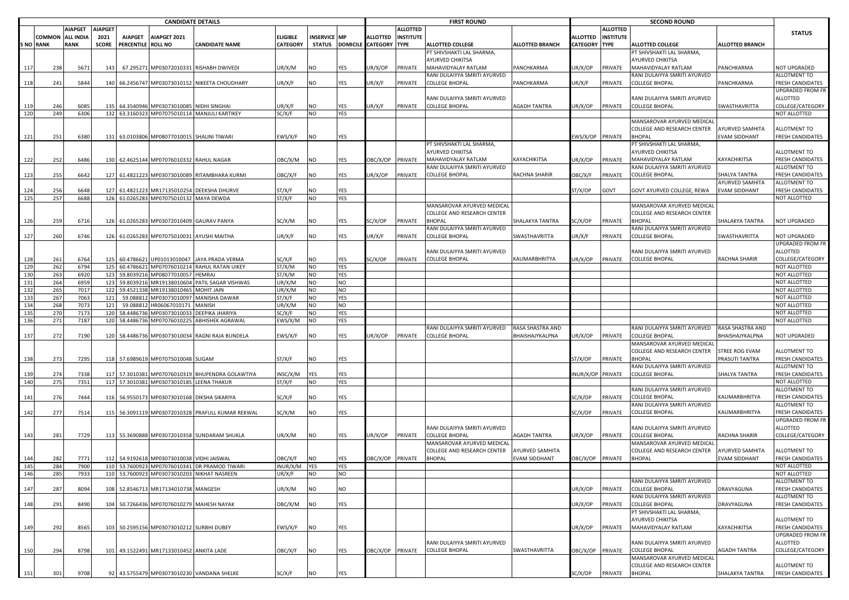|           | <b>CANDIDATE DETAILS</b> |                  |                |                    |                                             |                                                   |                 |              |            |                               |                  | <b>FIRST ROUND</b>                                  |                        |                  |                  | <b>SECOND ROUND</b>                                   |                        |                                         |
|-----------|--------------------------|------------------|----------------|--------------------|---------------------------------------------|---------------------------------------------------|-----------------|--------------|------------|-------------------------------|------------------|-----------------------------------------------------|------------------------|------------------|------------------|-------------------------------------------------------|------------------------|-----------------------------------------|
|           |                          | <b>AIAPGET</b>   | <b>AIAPGET</b> |                    |                                             |                                                   |                 |              |            |                               | <b>ALLOTTED</b>  |                                                     |                        |                  | <b>ALLOTTED</b>  |                                                       |                        | <b>STATUS</b>                           |
|           | <b>COMMON</b>            | <b>ALL INDIA</b> | 2021           | <b>AIAPGET</b>     | AIAPGET 2021                                |                                                   | <b>ELIGIBLE</b> | INSERVICE MP |            | <b>ALLOTTED</b>               | <b>INSTITUTE</b> |                                                     |                        | <b>ALLOTTED</b>  | <b>INSTITUTE</b> |                                                       |                        |                                         |
| S NO RANK |                          | <b>RANK</b>      | <b>SCORE</b>   | PERCENTILE ROLL NO |                                             | <b>CANDIDATE NAME</b>                             | <b>CATEGORY</b> |              |            | STATUS DOMICILE CATEGORY TYPE |                  | <b>ALLOTTED COLLEGE</b>                             | <b>ALLOTTED BRANCH</b> | CATEGORY TYPE    |                  | <b>ALLOTTED COLLEGE</b>                               | <b>ALLOTTED BRANCH</b> |                                         |
|           |                          |                  |                |                    |                                             |                                                   |                 |              |            |                               |                  | PT SHIVSHAKTI LAL SHARMA,                           |                        |                  |                  | PT SHIVSHAKTI LAL SHARMA,                             |                        |                                         |
|           |                          |                  |                |                    |                                             |                                                   |                 |              |            |                               |                  | AYURVED CHIKITSA                                    |                        |                  |                  | AYURVED CHIKITSA                                      |                        |                                         |
| 117       | 238                      | 5671             | 143            |                    |                                             | 67.295271 MP03072010331 RISHABH DWIVEDI           | UR/X/M          | NO           | YES        | JR/X/OP                       | PRIVATE          | MAHAVIDYALAY RATLAM<br>RANI DULAIYYA SMRITI AYURVED | PANCHKARMA             | JR/X/OP          | PRIVATE          | MAHAVIDYALAY RATLAM<br>RANI DULAIYYA SMRITI AYURVED   | PANCHKARMA             | NOT UPGRADED<br>ALLOTMENT TO            |
| 118       | 241                      | 5844             |                |                    |                                             | 140 66.2456747 MP03073010152 NIKEETA CHOUDHARY    | UR/X/F          | NO           | YES        | UR/X/F                        | PRIVATE          | <b>COLLEGE BHOPAL</b>                               | PANCHKARMA             | JR/X/F           | PRIVATE          | <b>COLLEGE BHOPAL</b>                                 | PANCHKARMA             | <b>FRESH CANDIDATES</b>                 |
|           |                          |                  |                |                    |                                             |                                                   |                 |              |            |                               |                  |                                                     |                        |                  |                  |                                                       |                        | UPGRADED FROM FR                        |
|           |                          |                  |                |                    |                                             |                                                   |                 |              |            |                               |                  | RANI DULAIYYA SMRITI AYURVED                        |                        |                  |                  | RANI DULAIYYA SMRITI AYURVED                          |                        | ALLOTTED                                |
| 119       | 246                      | 6085             | 135            |                    | 64.3540946 MP03073010085 NIDHI SINGHAI      |                                                   | UR/X/F          | NO           | YES        | UR/X/F                        | PRIVATE          | <b>COLLEGE BHOPAL</b>                               | AGADH TANTRA           | UR/X/OP          | PRIVATE          | <b>COLLEGE BHOPAL</b>                                 | SWASTHAVRITTA          | COLLEGE/CATEGORY                        |
| 120       | 249                      | 6306             |                |                    |                                             | 132 63.3160323 MP07075010114 MANJULI KARTIKEY     | SC/X/F          | NO           | YES        |                               |                  |                                                     |                        |                  |                  |                                                       |                        | NOT ALLOTTED                            |
|           |                          |                  |                |                    |                                             |                                                   |                 |              |            |                               |                  |                                                     |                        |                  |                  | MANSAROVAR AYURVED MEDICAL                            |                        |                                         |
|           |                          |                  |                |                    |                                             |                                                   |                 |              |            |                               |                  |                                                     |                        |                  |                  | COLLEGE AND RESEARCH CENTER                           | <b>AYURVED SAMHITA</b> | <b>ALLOTMENT TO</b>                     |
| 121       | 251                      | 6380             |                |                    | 131 63.0103806 MP08077010015 SHALINI TIWARI |                                                   | EWS/X/F         | NO           | YES        |                               |                  |                                                     |                        | EWS/X/OP         | PRIVATE          | <b>BHOPAL</b>                                         | EVAM SIDDHANT          | FRESH CANDIDATES                        |
|           |                          |                  |                |                    |                                             |                                                   |                 |              |            |                               |                  | PT SHIVSHAKTI LAL SHARMA                            |                        |                  |                  | PT SHIVSHAKTI LAL SHARMA,                             |                        |                                         |
|           |                          |                  |                |                    |                                             |                                                   |                 |              |            |                               |                  | AYURVED CHIKITSA                                    |                        |                  |                  | AYURVED CHIKITSA                                      |                        | ALLOTMENT TO                            |
| 122       | 252                      | 6486             |                |                    | 130 62.4625144 MP07076010332 RAHUL NAGAR    |                                                   | OBC/X/M         | NO           | YES        | OBC/X/OP                      | PRIVATE          | MAHAVIDYALAY RATLAM                                 | KAYACHIKITSA           | UR/X/OP          | PRIVATE          | MAHAVIDYALAY RATLAM                                   | KAYACHIKITSA           | <b>FRESH CANDIDATES</b>                 |
|           |                          |                  |                |                    |                                             |                                                   |                 |              |            |                               |                  | RANI DULAIYYA SMRITI AYURVED                        |                        |                  |                  | RANI DULAIYYA SMRITI AYURVED                          |                        | ALLOTMENT TO                            |
| 123       | 255                      | 6642             | 127            |                    |                                             | 61.4821223 MP03073010089 RITAMBHARA KURMI         | OBC/X/F         | NO           | YES        | JR/X/OP                       | PRIVATE          | <b>COLLEGE BHOPAL</b>                               | RACHNA SHARIR          | <b>DBC/X/F</b>   | PRIVATE          | <b>COLLEGE BHOPAL</b>                                 | SHALYA TANTRA          | FRESH CANDIDATES                        |
|           |                          |                  |                |                    |                                             |                                                   |                 |              |            |                               |                  |                                                     |                        |                  |                  |                                                       | AYURVED SAMHITA        | ALLOTMENT TO                            |
| 124       | 256                      | 6648             |                |                    |                                             | 61.4821223 MR17135010254 DEEKSHA DHURVE           | ST/X/F          | NO           | <b>YES</b> |                               |                  |                                                     |                        | ST/X/OP          | GOVT             | GOVT AYURVED COLLEGE, REWA                            | EVAM SIDDHANT          | <b>FRESH CANDIDATES</b>                 |
| 125       | 257                      | 6688             |                |                    | 126 61.0265283 MP07075010132 MAYA DEWDA     |                                                   | ST/X/F          | NO           | <b>YES</b> |                               |                  |                                                     |                        |                  |                  |                                                       |                        | NOT ALLOTTED                            |
|           |                          |                  |                |                    |                                             |                                                   |                 |              |            |                               |                  | MANSAROVAR AYURVED MEDICAL                          |                        |                  |                  | MANSAROVAR AYURVED MEDICAL                            |                        |                                         |
|           |                          |                  |                |                    |                                             |                                                   |                 |              |            |                               |                  | COLLEGE AND RESEARCH CENTER<br><b>BHOPAL</b>        | SHALAKYA TANTRA        |                  |                  | COLLEGE AND RESEARCH CENTER<br><b>BHOPAL</b>          |                        | <b>NOT UPGRADED</b>                     |
| 126       | 259                      | 6716             |                |                    | 126 61.0265283 MP03072010409 GAURAV PANYA   |                                                   | SC/X/M          | NO           | YES        | SC/X/OP                       | PRIVATE          | RANI DULAIYYA SMRITI AYURVED                        |                        | SC/X/OP          | PRIVATE          | RANI DULAIYYA SMRITI AYURVED                          | SHALAKYA TANTRA        |                                         |
| 127       | 260                      | 6746             |                |                    | 126 61.0265283 MP07075010031 AYUSHI MAITHA  |                                                   | UR/X/F          | NO           | YES        | JR/X/F                        | PRIVATE          | <b>COLLEGE BHOPAL</b>                               | SWASTHAVRITTA          | JR/X/F           | PRIVATE          | <b>COLLEGE BHOPAL</b>                                 | SWASTHAVRITTA          | NOT UPGRADED                            |
|           |                          |                  |                |                    |                                             |                                                   |                 |              |            |                               |                  |                                                     |                        |                  |                  |                                                       |                        | <b>UPGRADED FROM FR</b>                 |
|           |                          |                  |                |                    |                                             |                                                   |                 |              |            |                               |                  | RANI DULAIYYA SMRITI AYURVED                        |                        |                  |                  | RANI DULAIYYA SMRITI AYURVED                          |                        | ALLOTTED                                |
| 128       | 261                      | 6764             |                |                    |                                             | 125 60.4786621 UP01013010047 JAYA PRADA VERMA     | SC/X/F          | NO           | YES        | SC/X/OP                       | PRIVATE          | <b>COLLEGE BHOPAL</b>                               | KAUMARBHRITYA          | JR/X/OP          | PRIVATE          | <b>COLLEGE BHOPAL</b>                                 | RACHNA SHARIR          | COLLEGE/CATEGORY                        |
| 129       | 262                      | 6794             | 125            | 60.4786621         | MP07076010214                               | RAHUL RATAN UIKEY                                 | ST/X/M          | NO           | <b>YES</b> |                               |                  |                                                     |                        |                  |                  |                                                       |                        | NOT ALLOTTED                            |
| 130       | 263                      | 6920             | 123            | 59.8039216         | MP08077010057                               | <b>HEMRAJ</b>                                     | ST/X/M          | NO           | YES        |                               |                  |                                                     |                        |                  |                  |                                                       |                        | NOT ALLOTTED                            |
| 131       | 264                      | 6959             | 123            | 59.8039216         | MR19138010604                               | PATIL SAGAR VISHWAS                               | UR/X/M          | NO           | <b>NO</b>  |                               |                  |                                                     |                        |                  |                  |                                                       |                        | NOT ALLOTTED                            |
| 132       | 265                      | 7017             | 122            |                    | 59.4521338 MR19138010465                    | <b>MIAL TIHOM</b>                                 | UR/X/M          | NO           | <b>NO</b>  |                               |                  |                                                     |                        |                  |                  |                                                       |                        | NOT ALLOTTED                            |
| 133       | 267                      | 7063             | 121            | 59.088812          | MP03073010097                               | MANISHA DAWAR                                     | ST/X/F          | NO           | <b>YES</b> |                               |                  |                                                     |                        |                  |                  |                                                       |                        | NOT ALLOTTED                            |
| 134       | 268                      | 7073             | 121            | 59.088812          | HR06067010171                               | MANISH                                            | UR/X/M          | NO           | <b>NO</b>  |                               |                  |                                                     |                        |                  |                  |                                                       |                        | NOT ALLOTTED                            |
| 135       | 270                      | 7173             | 120            |                    | 58.4486736 MP03073010033                    | DEEPIKA JHARIYA                                   | SC/X/F          | NO           | <b>YES</b> |                               |                  |                                                     |                        |                  |                  |                                                       |                        | NOT ALLOTTED                            |
| 136       | 271                      | 7187             | 120            |                    | 58.4486736 MP07076010225                    | ABHISHEK AGRAWAL                                  | EWS/X/M         | NO           | <b>YES</b> |                               |                  |                                                     |                        |                  |                  |                                                       |                        | NOT ALLOTTED                            |
|           |                          |                  |                |                    |                                             |                                                   |                 |              |            |                               |                  | RANI DULAIYYA SMRITI AYURVED                        | RASA SHASTRA AND       |                  |                  | RANI DULAIYYA SMRITI AYURVED                          | RASA SHASTRA AND       |                                         |
| 137       | 272                      | 7190             |                |                    |                                             | 120 58.4486736 MP03073010034 RAGNI RAJA BUNDELA   | EWS/X/F         | NO           | YES        | UR/X/OP                       | PRIVATE          | <b>COLLEGE BHOPAL</b>                               | BHAISHAJYKALPNA        | JR/X/OP          | PRIVATE          | <b>COLLEGE BHOPAL</b>                                 | BHAISHAJYKALPNA        | NOT UPGRADED                            |
|           |                          |                  |                |                    |                                             |                                                   |                 |              |            |                               |                  |                                                     |                        |                  |                  | MANSAROVAR AYURVED MEDICAL                            |                        |                                         |
|           |                          |                  |                |                    |                                             |                                                   |                 |              |            |                               |                  |                                                     |                        |                  |                  | COLLEGE AND RESEARCH CENTER                           | STREE ROG EVAM         | ALLOTMENT TO                            |
| 138       | 273                      | 7295             |                |                    | 118 57.6989619 MP07075010048 SUGAM          |                                                   | ST/X/F          | NO           | YES        |                               |                  |                                                     |                        | ST/X/OP          | PRIVATE          | <b>BHOPAL</b><br>RANI DULAIYYA SMRITI AYURVED         | PRASUTI TANTRA         | <b>FRESH CANDIDATES</b><br>ALLOTMENT TO |
| 139       | 274                      | 7338             |                |                    |                                             | 117 57.3010381 MP07076010319 BHUPENDRA GOLAWTIYA  | INSC/X/M        | YES          | YES        |                               |                  |                                                     |                        | NUR/X/OP PRIVATE |                  | <b>COLLEGE BHOPAL</b>                                 | SHALYA TANTRA          | <b>FRESH CANDIDATES</b>                 |
| 140       | 275                      | 7351             |                |                    | 117 57.3010381 MP03073010185 LEENA THAKUR   |                                                   | ST/X/F          | NO           | <b>YES</b> |                               |                  |                                                     |                        |                  |                  |                                                       |                        | NOT ALLOTTED                            |
|           |                          |                  |                |                    |                                             |                                                   |                 |              |            |                               |                  |                                                     |                        |                  |                  | RANI DULAIYYA SMRITI AYURVED                          |                        | ALLOTMENT TO                            |
| 141       | 276                      | 7444             | 116            |                    | 56.9550173 MP03073010168 DIKSHA SIKARIYA    |                                                   | SC/X/F          | NO           | YES        |                               |                  |                                                     |                        | SC/X/OP          | PRIVATE          | <b>COLLEGE BHOPAL</b>                                 | KAUMARBHRITYA          | FRESH CANDIDATES                        |
|           |                          |                  |                |                    |                                             |                                                   |                 |              |            |                               |                  |                                                     |                        |                  |                  | RANI DULAIYYA SMRITI AYURVED                          |                        | ALLOTMENT TO                            |
| 142       | 277                      | 7514             |                |                    |                                             | 115 56.3091119 MP03072010328 PRAFULL KUMAR REKWAL | SC/X/M          | NO           | YES        |                               |                  |                                                     |                        | SC/X/OP          | PRIVATE          | COLLEGE BHOPAL                                        | KAUMARBHRITYA          | <b>FRESH CANDIDATES</b>                 |
|           |                          |                  |                |                    |                                             |                                                   |                 |              |            |                               |                  |                                                     |                        |                  |                  |                                                       |                        | UPGRADED FROM FR                        |
|           |                          |                  |                |                    |                                             |                                                   |                 |              |            |                               |                  | RANI DULAIYYA SMRITI AYURVED                        |                        |                  |                  | RANI DULAIYYA SMRITI AYURVED                          |                        | ALLOTTED                                |
| 143       | 281                      | 7729             |                |                    |                                             | 113 55.3690888 MP03072010358 SUNDARAM SHUKLA      | UR/X/M          | NO           | YES        | JR/X/OP                       | PRIVATE          | <b>COLLEGE BHOPAL</b>                               | AGADH TANTRA           | JR/X/OP          | PRIVATE          | COLLEGE BHOPAL                                        | RACHNA SHARIR          | COLLEGE/CATEGORY                        |
|           |                          |                  |                |                    |                                             |                                                   |                 |              |            |                               |                  | MANSAROVAR AYURVED MEDICAL                          |                        |                  |                  | MANSAROVAR AYURVED MEDICAL                            |                        |                                         |
|           |                          |                  |                |                    |                                             |                                                   |                 |              |            |                               |                  | COLLEGE AND RESEARCH CENTER                         | AYURVED SAMHITA        |                  |                  | COLLEGE AND RESEARCH CENTER                           | AYURVED SAMHITA        | ALLOTMENT TO                            |
| 144       | 282                      | 7771             |                |                    | 112 54.9192618 MP03073010038 VIDHI JAISWAL  |                                                   | OBC/X/F         | NO           | YES        | OBC/X/OP                      | PRIVATE          | <b>BHOPAL</b>                                       | EVAM SIDDHANT          | <b>DBC/X/OP</b>  | PRIVATE          | <b>BHOPAL</b>                                         | <b>EVAM SIDDHANT</b>   | FRESH CANDIDATES                        |
| 145       | 284                      | 7900             |                |                    |                                             | 110 53.7600923 MP07076010341 DR PRAMOD TIWARI     | INUR/X/M        | <b>YES</b>   | YES        |                               |                  |                                                     |                        |                  |                  |                                                       |                        | NOT ALLOTTED                            |
| 146       | 285                      | 7933             |                |                    |                                             | 110 53.7600923 MP03073010203 NIKHAT NASREEN       | UR/X/F          | NO           | <b>NO</b>  |                               |                  |                                                     |                        |                  |                  |                                                       |                        | NOT ALLOTTED                            |
|           |                          |                  |                |                    |                                             |                                                   |                 |              |            |                               |                  |                                                     |                        |                  |                  | RANI DULAIYYA SMRITI AYURVED<br><b>COLLEGE BHOPAL</b> | DRAVYAGUNA             | ALLOTMENT TO<br>FRESH CANDIDATES        |
| 147       | 287                      | 8094             | 108            |                    | 52.8546713 MR17134010738 MANGESH            |                                                   | UR/X/M          | NO           | <b>NO</b>  |                               |                  |                                                     |                        | JR/X/OP          | PRIVATE          | RANI DULAIYYA SMRITI AYURVED                          |                        | ALLOTMENT TO                            |
| 148       | 291                      | 8490             |                |                    | 104 50.7266436 MP07076010279 MAHESH NAYAK   |                                                   | OBC/X/M         | NO           | YES        |                               |                  |                                                     |                        | UR/X/OP          | PRIVATE          | <b>COLLEGE BHOPAL</b>                                 | DRAVYAGUNA             | FRESH CANDIDATES                        |
|           |                          |                  |                |                    |                                             |                                                   |                 |              |            |                               |                  |                                                     |                        |                  |                  | PT SHIVSHAKTI LAL SHARMA,                             |                        |                                         |
|           |                          |                  |                |                    |                                             |                                                   |                 |              |            |                               |                  |                                                     |                        |                  |                  | AYURVED CHIKITSA                                      |                        | ALLOTMENT TO                            |
| 149       | 292                      | 8565             |                |                    | 103 50.2595156 MP03073010212 SURBHI DUBEY   |                                                   | EWS/X/F         | NO           | YES        |                               |                  |                                                     |                        | JR/X/OP          | PRIVATE          | MAHAVIDYALAY RATLAM                                   | KAYACHIKITSA           | <b>FRESH CANDIDATES</b>                 |
|           |                          |                  |                |                    |                                             |                                                   |                 |              |            |                               |                  |                                                     |                        |                  |                  |                                                       |                        | <b>UPGRADED FROM FR</b>                 |
|           |                          |                  |                |                    |                                             |                                                   |                 |              |            |                               |                  | RANI DULAIYYA SMRITI AYURVED                        |                        |                  |                  | RANI DULAIYYA SMRITI AYURVED                          |                        | ALLOTTED                                |
| 150       | 294                      | 8798             |                |                    | 101 49.1522491 MR17133010452 ANKITA LADE    |                                                   | OBC/X/F         | NO           | YES        | OBC/X/OP                      | PRIVATE          | <b>COLLEGE BHOPAL</b>                               | <b>SWASTHAVRITTA</b>   | OBC/X/OP         | PRIVATE          | <b>COLLEGE BHOPAL</b>                                 | <b>AGADH TANTRA</b>    | COLLEGE/CATEGORY                        |
|           |                          |                  |                |                    |                                             |                                                   |                 |              |            |                               |                  |                                                     |                        |                  |                  | MANSAROVAR AYURVED MEDICAL                            |                        |                                         |
|           |                          |                  |                |                    |                                             |                                                   |                 |              |            |                               |                  |                                                     |                        |                  |                  | COLLEGE AND RESEARCH CENTER                           |                        | ALLOTMENT TO                            |
| 151       | 301                      | 9708             |                |                    |                                             | 92 43.5755479 MP03073010230 VANDANA SHELKE        | SC/X/F          | <b>NO</b>    | <b>YES</b> |                               |                  |                                                     |                        | SC/X/OP          | PRIVATE          | <b>BHOPAL</b>                                         | SHALAKYA TANTRA        | FRESH CANDIDATES                        |